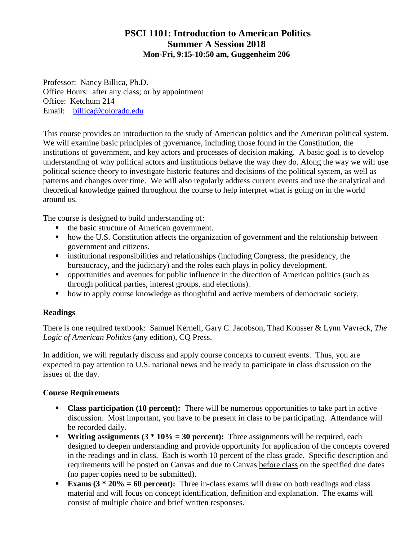## **PSCI 1101: Introduction to American Politics Summer A Session 2018 Mon-Fri, 9:15-10:50 am, Guggenheim 206**

Professor: Nancy Billica, Ph.D. Office Hours: after any class; or by appointment Office: Ketchum 214 Email: [billica@colorado.edu](mailto:billica@colorado.edu)

This course provides an introduction to the study of American politics and the American political system. We will examine basic principles of governance, including those found in the Constitution, the institutions of government, and key actors and processes of decision making. A basic goal is to develop understanding of why political actors and institutions behave the way they do. Along the way we will use political science theory to investigate historic features and decisions of the political system, as well as patterns and changes over time. We will also regularly address current events and use the analytical and theoretical knowledge gained throughout the course to help interpret what is going on in the world around us.

The course is designed to build understanding of:

- the basic structure of American government.
- how the U.S. Constitution affects the organization of government and the relationship between government and citizens.
- institutional responsibilities and relationships (including Congress, the presidency, the bureaucracy, and the judiciary) and the roles each plays in policy development.
- opportunities and avenues for public influence in the direction of American politics (such as through political parties, interest groups, and elections).
- how to apply course knowledge as thoughtful and active members of democratic society.

### **Readings**

There is one required textbook: Samuel Kernell, Gary C. Jacobson, Thad Kousser & Lynn Vavreck, *The Logic of American Politics* (any edition), CQ Press.

In addition, we will regularly discuss and apply course concepts to current events. Thus, you are expected to pay attention to U.S. national news and be ready to participate in class discussion on the issues of the day.

#### **Course Requirements**

- **Class participation (10 percent):** There will be numerous opportunities to take part in active discussion. Most important, you have to be present in class to be participating. Attendance will be recorded daily.
- **Writing assignments (3 \* 10% = 30 percent):** Three assignments will be required, each designed to deepen understanding and provide opportunity for application of the concepts covered in the readings and in class. Each is worth 10 percent of the class grade. Specific description and requirements will be posted on Canvas and due to Canvas before class on the specified due dates (no paper copies need to be submitted).
- **Exams (3**  $*$  **20% = 60 percent):** Three in-class exams will draw on both readings and class material and will focus on concept identification, definition and explanation. The exams will consist of multiple choice and brief written responses.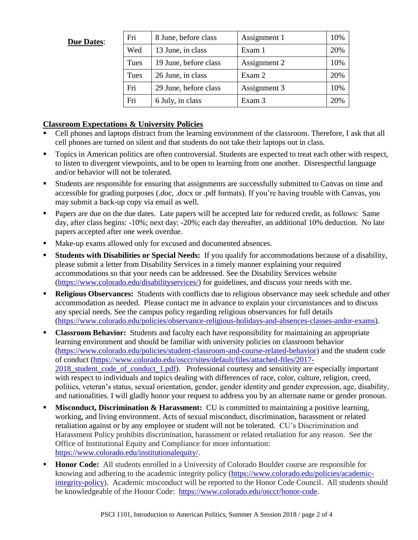#### **Due Dates**:

| Fri  | 8 June, before class  | Assignment 1 | 10% |
|------|-----------------------|--------------|-----|
| Wed  | 13 June, in class     | Exam 1       | 20% |
| Tues | 19 June, before class | Assignment 2 | 10% |
| Tues | 26 June, in class     | Exam 2       | 20% |
| Fri  | 29 June, before class | Assignment 3 | 10% |
| Fri  | 6 July, in class      | Exam 3       | 20% |

#### **Classroom Expectations & University Policies**

- Cell phones and laptops distract from the learning environment of the classroom. Therefore, I ask that all cell phones are turned on silent and that students do not take their laptops out in class.
- Topics in American politics are often controversial. Students are expected to treat each other with respect, to listen to divergent viewpoints, and to be open to learning from one another. Disrespectful language and/or behavior will not be tolerated.
- Students are responsible for ensuring that assignments are successfully submitted to Canvas on time and accessible for grading purposes (.doc, .docx or .pdf formats). If you're having trouble with Canvas, you may submit a back-up copy via email as well.
- Papers are due on the due dates. Late papers will be accepted late for reduced credit, as follows: Same day, after class begins: -10%; next day: -20%; each day thereafter, an additional 10% deduction. No late papers accepted after one week overdue.
- Make-up exams allowed only for excused and documented absences.
- **Students with Disabilities or Special Needs:** If you qualify for accommodations because of a disability, please submit a letter from Disability Services in a timely manner explaining your required accommodations so that your needs can be addressed. See the Disability Services website [\(https://www.colorado.edu/disabilityservices/\)](https://www.colorado.edu/disabilityservices/) for guidelines, and discuss your needs with me.
- **Religious Observances:** Students with conflicts due to religious observance may seek schedule and other accommodation as needed. Please contact me in advance to explain your circumstances and to discuss any special needs. See the campus policy regarding religious observances for full details [\(https://www.colorado.edu/policies/observance-religious-holidays-and-absences-classes-andor-exams\)](https://www.colorado.edu/policies/observance-religious-holidays-and-absences-classes-andor-exams).
- **Classroom Behavior:** Students and faculty each have responsibility for maintaining an appropriate learning environment and should be familiar with university policies on classroom behavior [\(https://www.colorado.edu/policies/student-classroom-and-course-related-behavior\)](https://www.colorado.edu/policies/student-classroom-and-course-related-behavior) and the student code of conduct [\(https://www.colorado.edu/osccr/sites/default/files/attached-files/2017-](https://www.colorado.edu/osccr/sites/default/files/attached-files/2017-2018_student_code_of_conduct_1.pdf) 2018 student code of conduct 1.pdf). Professional courtesy and sensitivity are especially important with respect to individuals and topics dealing with differences of race, color, culture, religion, creed, politics, veteran's status, sexual orientation, gender, gender identity and gender expression, age, disability, and nationalities. I will gladly honor your request to address you by an alternate name or gender pronoun.
- **Misconduct, Discrimination & Harassment:** CU is committed to maintaining a positive learning, working, and living environment. Acts of sexual misconduct, discrimination, harassment or related retaliation against or by any employee or student will not be tolerated. CU's Discrimination and Harassment Policy prohibits discrimination, harassment or related retaliation for any reason. See the Office of Institutional Equity and Compliance for more information: [https://www.colorado.edu/institutionalequity/.](https://www.colorado.edu/institutionalequity/)
- **Honor Code:** All students enrolled in a University of Colorado Boulder course are responsible for knowing and adhering to the academic integrity policy [\(https://www.colorado.edu/policies/academic](https://www.colorado.edu/policies/academic-integrity-policy)[integrity-policy\)](https://www.colorado.edu/policies/academic-integrity-policy). Academic misconduct will be reported to the Honor Code Council. All students should be knowledgeable of the Honor Code: [https://www.colorado.edu/osccr/honor-code.](https://www.colorado.edu/osccr/honor-code)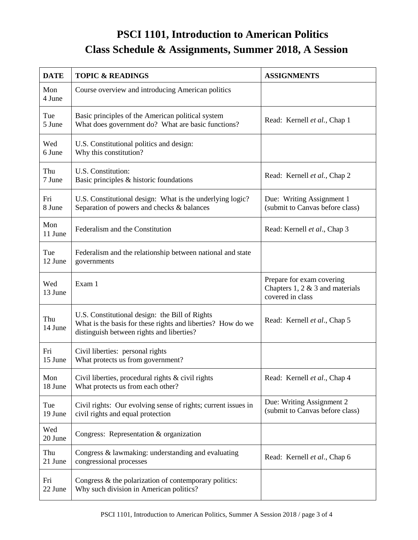# **PSCI 1101, Introduction to American Politics Class Schedule & Assignments, Summer 2018, A Session**

| <b>DATE</b>    | <b>TOPIC &amp; READINGS</b>                                                                                                                                | <b>ASSIGNMENTS</b>                                                                  |
|----------------|------------------------------------------------------------------------------------------------------------------------------------------------------------|-------------------------------------------------------------------------------------|
| Mon<br>4 June  | Course overview and introducing American politics                                                                                                          |                                                                                     |
| Tue<br>5 June  | Basic principles of the American political system<br>What does government do? What are basic functions?                                                    | Read: Kernell et al., Chap 1                                                        |
| Wed<br>6 June  | U.S. Constitutional politics and design:<br>Why this constitution?                                                                                         |                                                                                     |
| Thu<br>7 June  | U.S. Constitution:<br>Basic principles & historic foundations                                                                                              | Read: Kernell et al., Chap 2                                                        |
| Fri<br>8 June  | U.S. Constitutional design: What is the underlying logic?<br>Separation of powers and checks & balances                                                    | Due: Writing Assignment 1<br>(submit to Canvas before class)                        |
| Mon<br>11 June | Federalism and the Constitution                                                                                                                            | Read: Kernell et al., Chap 3                                                        |
| Tue<br>12 June | Federalism and the relationship between national and state<br>governments                                                                                  |                                                                                     |
| Wed<br>13 June | Exam 1                                                                                                                                                     | Prepare for exam covering<br>Chapters $1, 2 \& 3$ and materials<br>covered in class |
| Thu<br>14 June | U.S. Constitutional design: the Bill of Rights<br>What is the basis for these rights and liberties? How do we<br>distinguish between rights and liberties? | Read: Kernell et al., Chap 5                                                        |
| Fri<br>15 June | Civil liberties: personal rights<br>What protects us from government?                                                                                      |                                                                                     |
| Mon<br>18 June | Civil liberties, procedural rights & civil rights<br>What protects us from each other?                                                                     | Read: Kernell et al., Chap 4                                                        |
| Tue<br>19 June | Civil rights: Our evolving sense of rights; current issues in<br>civil rights and equal protection                                                         | Due: Writing Assignment 2<br>(submit to Canvas before class)                        |
| Wed<br>20 June | Congress: Representation & organization                                                                                                                    |                                                                                     |
| Thu<br>21 June | Congress & lawmaking: understanding and evaluating<br>congressional processes                                                                              | Read: Kernell et al., Chap 6                                                        |
| Fri<br>22 June | Congress & the polarization of contemporary politics:<br>Why such division in American politics?                                                           |                                                                                     |